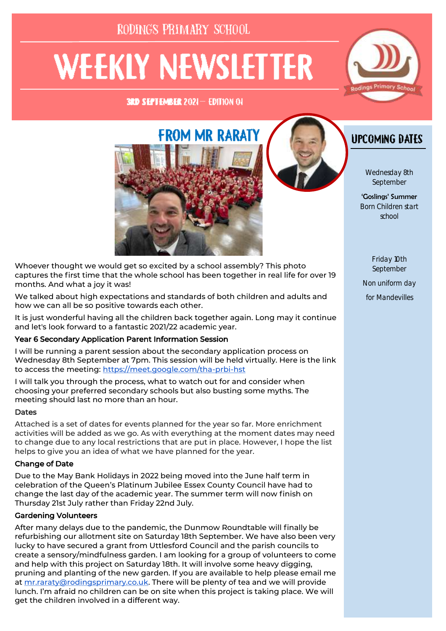# RODINGS PRIMARY SCHOOL

# **WEEKLY NEWSLETTER**

**3RD SEPTEMBER 2021-EDITION OF** 







# **UPCOMING DATES**

Wednesday 8th September

'Goslings' Summer Born Children start school

> Friday 10th September

Non uniform day

for Mandevilles

Whoever thought we would get so excited by a school assembly? This photo captures the first time that the whole school has been together in real life for over 19 months. And what a joy it was!

We talked about high expectations and standards of both children and adults and how we can all be so positive towards each other.

It is just wonderful having all the children back together again. Long may it continue and let's look forward to a fantastic 2021/22 academic year.

#### Year 6 Secondary Application Parent Information Session

I will be running a parent session about the secondary application process on Wednesday 8th September at 7pm. This session will be held virtually. Here is the link to access the meeting:<https://meet.google.com/tha-prbi-hst>

I will talk you through the process, what to watch out for and consider when choosing your preferred secondary schools but also busting some myths. The meeting should last no more than an hour.

#### **Dates**

Attached is a set of dates for events planned for the year so far. More enrichment activities will be added as we go. As with everything at the moment dates may need to change due to any local restrictions that are put in place. However, I hope the list helps to give you an idea of what we have planned for the year.

#### Change of Date

Due to the May Bank Holidays in 2022 being moved into the June half term in celebration of the Queen's Platinum Jubilee Essex County Council have had to change the last day of the academic year. The summer term will now finish on Thursday 21st July rather than Friday 22nd July.

#### Gardening Volunteers

After many delays due to the pandemic, the Dunmow Roundtable will finally be refurbishing our allotment site on Saturday 18th September. We have also been very lucky to have secured a grant from Uttlesford Council and the parish councils to create a sensory/mindfulness garden. I am looking for a group of volunteers to come and help with this project on Saturday 18th. It will involve some heavy digging, pruning and planting of the new garden. If you are available to help please email me at [mr.raraty@rodingsprimary.co.uk.](mailto:mr.raraty@rodingsprimary.co.uk) There will be plenty of tea and we will provide lunch. I'm afraid no children can be on site when this project is taking place. We will get the children involved in a different way.